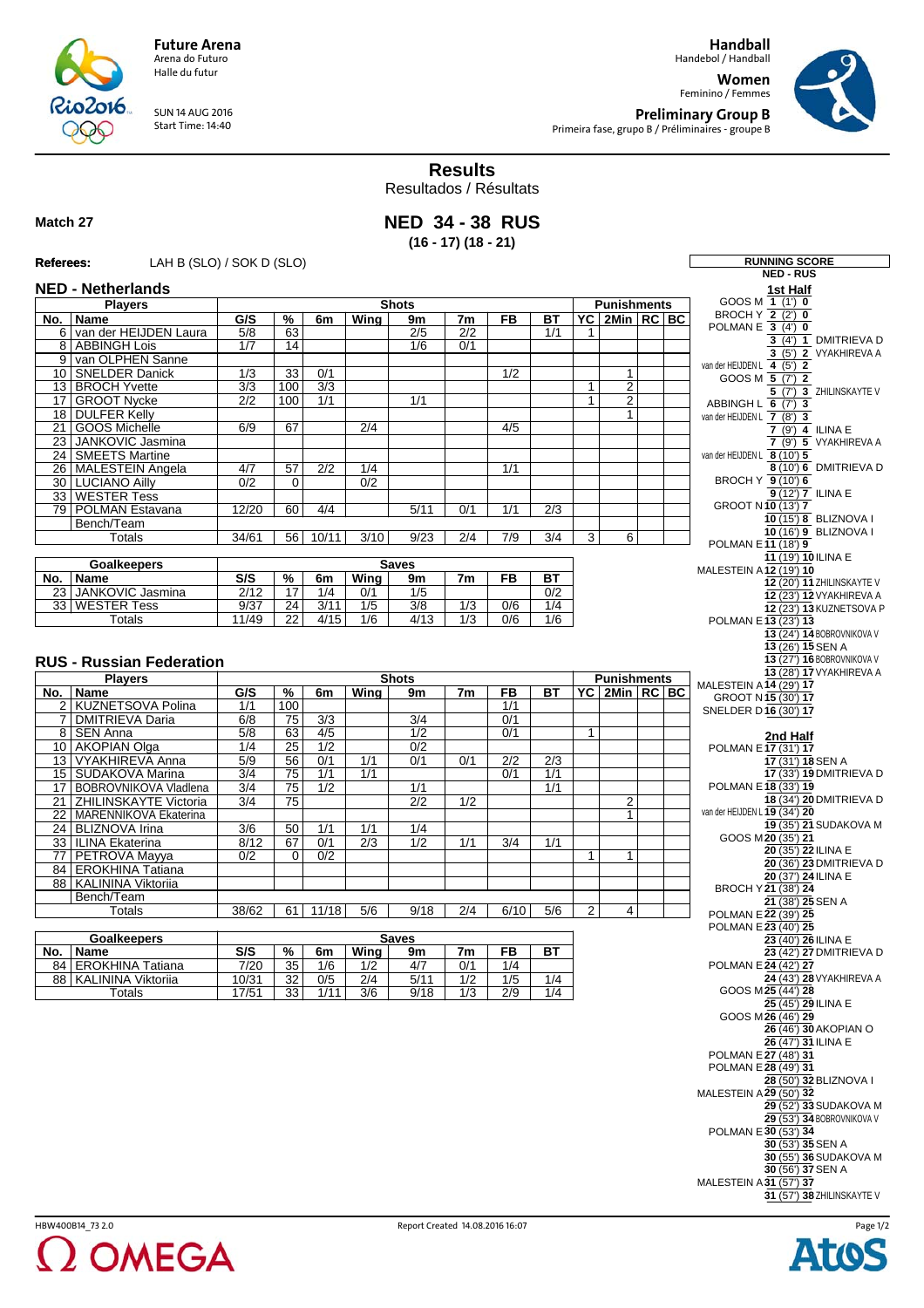**Handball** Handebol / Handball

**Women** Feminino / Femmes



**Preliminary Group B** Primeira fase, grupo B / Préliminaires - groupe B

**Results**

**Match 27**

R

Resultados / Résultats

## **NED 34 - 38 RUS (16 - 17) (18 - 21)**

## **Referees:** LAH B (SLO) / SOK D (SLO) **REferees:**

016

SUN 14 AUG 2016 Start Time: 14:40

**Future Arena** Arena do Futuro Halle du futur

| Referees:                       | LAH B (SLO) / SOK D (SLO)                         |                                    |                       |                  |                         |                         |                  |                  |                  |                |                            |  |                     | <b>RUNNING SCORE</b>                                 |
|---------------------------------|---------------------------------------------------|------------------------------------|-----------------------|------------------|-------------------------|-------------------------|------------------|------------------|------------------|----------------|----------------------------|--|---------------------|------------------------------------------------------|
|                                 |                                                   |                                    |                       |                  |                         |                         |                  |                  |                  |                |                            |  |                     | <b>NED - RUS</b>                                     |
|                                 | <b>NED - Netherlands</b>                          | <b>Shots</b><br><b>Punishments</b> |                       |                  |                         |                         |                  |                  |                  |                |                            |  |                     | 1st Half<br>GOOS M $1(1)$ 0                          |
|                                 | <b>Plavers</b>                                    |                                    |                       |                  |                         |                         |                  |                  |                  |                |                            |  |                     | BROCH Y $\overline{2}$ (2') 0                        |
|                                 | No.   Name<br>6 van der HEIJDEN Laura             | G/S<br>5/8                         | %<br>63               | 6m               | Wina                    | 9m<br>2/5               | 7m<br>2/2        | <b>FB</b>        | <b>BT</b><br>1/1 | 1              | YC 2Min RC BC              |  |                     | POLMAN E $3(4)0$                                     |
|                                 | 8 ABBINGH Lois                                    | 1/7                                | 14                    |                  |                         | 1/6                     | 0/1              |                  |                  |                |                            |  |                     | 3 (4') 1 DMITRIEVA D                                 |
|                                 | 9 van OLPHEN Sanne                                |                                    |                       |                  |                         |                         |                  |                  |                  |                |                            |  |                     | 3 (5') 2 VYAKHIREVA A                                |
|                                 | 10 SNELDER Danick                                 | $\overline{1/3}$                   | $\overline{33}$       | 0/1              |                         |                         |                  | 1/2              |                  |                | 1                          |  |                     | van der HEIJDEN L 4 (5') 2<br>GOOS M 5 (7') 2        |
|                                 | 13 BROCH Yvette                                   | $\overline{3/3}$                   | 100                   | $\overline{3/3}$ |                         |                         |                  |                  |                  | $\overline{1}$ | $\overline{c}$             |  |                     | 5 (7') 3 ZHILINSKAYTE V                              |
|                                 | 17 GROOT Nycke                                    | $\overline{2/2}$                   | 100                   | 1/1              |                         | 1/1                     |                  |                  |                  | $\mathbf{1}$   | $\overline{2}$             |  |                     | ABBINGH L 6 (7') 3                                   |
|                                 | 18 DULFER Kelly                                   |                                    |                       |                  |                         |                         |                  |                  |                  |                | 1                          |  |                     | van der HEIJDEN L 7 (8') 3                           |
|                                 | 21 GOOS Michelle                                  | 6/9                                | 67                    |                  | $\overline{2/4}$        |                         |                  | 4/5              |                  |                |                            |  |                     | $7(9')$ 4 ILINA E                                    |
|                                 | 23 JANKOVIC Jasmina                               |                                    |                       |                  |                         |                         |                  |                  |                  |                |                            |  |                     | 7 (9') 5 VYAKHIREVA A                                |
|                                 | 24   SMEETS Martine<br>26 MALESTEIN Angela        | 4/7                                | 57                    | $\overline{2/2}$ | 1/4                     |                         |                  | 1/1              |                  |                |                            |  |                     | van der HEIJDEN L 8 (10') 5<br>8 (10') 6 DMITRIEVA D |
|                                 | 30 LUCIANO Ailly                                  | 0/2                                | $\overline{0}$        |                  | 0/2                     |                         |                  |                  |                  |                |                            |  |                     | BROCH Y 9 (10') 6                                    |
|                                 | 33 WESTER Tess                                    |                                    |                       |                  |                         |                         |                  |                  |                  |                |                            |  |                     | 9 (12') 7 ILINA E                                    |
|                                 | 79 POLMAN Estavana                                | 12/20                              | 60                    | 4/4              |                         | 5/11                    | 0/1              | 1/1              | 2/3              |                |                            |  |                     | GROOT N10 (13') 7                                    |
|                                 | Bench/Team                                        |                                    |                       |                  |                         |                         |                  |                  |                  |                |                            |  |                     | 10 (15') 8 BLIZNOVA I                                |
|                                 | <b>Totals</b>                                     | 34/61                              | 56                    | 10/11            | 3/10                    | 9/23                    | 2/4              | 7/9              | 3/4              | 3              | 6                          |  |                     | 10 (16') 9 BLIZNOVA I<br>POLMAN E11 (18') 9          |
|                                 |                                                   |                                    |                       |                  |                         |                         |                  |                  |                  |                |                            |  |                     | 11 (19') 10 ILINA E                                  |
|                                 | <b>Goalkeepers</b>                                |                                    |                       |                  |                         | <b>Saves</b>            |                  |                  |                  |                |                            |  |                     | MALESTEIN A 12 (19') 10                              |
|                                 | No.   Name                                        | S/S                                | %                     | 6m               | Wing                    | 9m                      | 7m               | FB               | <b>BT</b>        |                |                            |  |                     | 12 (20') 11 ZHILINSKAYTE V                           |
|                                 | 23 JANKOVIC Jasmina<br>33 WESTER Tess             | 2/12<br>9/37                       | 17<br>$\overline{24}$ | 1/4<br>3/11      | 0/1<br>$\overline{1/5}$ | 1/5<br>$\overline{3/8}$ | $\overline{1/3}$ | $\overline{0/6}$ | 0/2<br>1/4       |                |                            |  |                     | 12 (23') 12 VYAKHIREVA A                             |
|                                 | Totals                                            | 11/49                              | $\overline{22}$       | 4/15             | 1/6                     | 4/13                    | 1/3              | 0/6              | 1/6              |                |                            |  |                     | 12 (23') 13 KUZNETSOVA P                             |
|                                 |                                                   |                                    |                       |                  |                         |                         |                  |                  |                  |                |                            |  |                     | POLMAN E13 (23') 13<br>13 (24') 14 BOBROVNIKOVA V    |
|                                 |                                                   |                                    |                       |                  |                         |                         |                  |                  |                  |                |                            |  |                     | 13 (26') 15 SEN A                                    |
| <b>RUS - Russian Federation</b> |                                                   |                                    |                       |                  |                         |                         |                  |                  |                  |                | 13 (27') 16 BOBROVNIKOVA V |  |                     |                                                      |
|                                 | <b>Players</b>                                    |                                    |                       |                  |                         | <b>Shots</b>            |                  |                  |                  |                | <b>Punishments</b>         |  |                     | 13 (28') 17 VYAKHIREVA A                             |
|                                 | No.   Name                                        | G/S                                | %                     | 6m               | Wing                    | 9m                      | 7m               | FB               | <b>BT</b>        | YC             | $2Min$ RC BC               |  |                     | MALESTEIN A 14 (29') 17                              |
|                                 | 2 KUZNETSOVA Polina                               | 1/1                                | 100                   |                  |                         |                         |                  | 1/1              |                  |                |                            |  |                     | GROOT N15 (30') 17                                   |
|                                 | 7 DMITRIEVA Daria                                 | 6/8                                | 75                    | 3/3              |                         | 3/4                     |                  | 0/1              |                  |                |                            |  |                     | SNELDER D16 (30') 17                                 |
|                                 | 8   SEN Anna                                      | 5/8                                | 63                    | 4/5              |                         | 1/2                     |                  | 0/1              |                  | $\overline{1}$ |                            |  |                     | 2nd Half                                             |
|                                 | 10 AKOPIAN Olga                                   | 1/4                                | $\overline{25}$       | $\overline{1/2}$ |                         | 0/2                     |                  |                  |                  |                |                            |  |                     | POLMAN E 17 (31') 17                                 |
|                                 | 13 VYAKHIREVA Anna                                | $\overline{5/9}$                   | 56                    | 0/1              | $\overline{1/1}$        | 0/1                     | 0/1              | $\overline{2/2}$ | $\overline{2/3}$ |                |                            |  |                     | 17 (31') 18 SEN A                                    |
|                                 | 15 SUDAKOVA Marina                                | $\overline{3/4}$                   | 75                    | 1/1              | 1/1                     |                         |                  | 0/1              | 1/1              |                |                            |  |                     | 17 (33') 19 DMITRIEVA D                              |
|                                 | 17 BOBROVNIKOVA Vladlena                          | $\overline{3/4}$                   | 75                    | $\overline{1/2}$ |                         | 1/1                     |                  |                  | 1/1              |                |                            |  |                     | POLMAN E 18 (33') 19<br>18 (34') 20 DMITRIEVA D      |
| 21                              | ZHILINSKAYTE Victoria<br>22 MARENNIKOVA Ekaterina | $\overline{3/4}$                   | 75                    |                  |                         | 2/2                     | 1/2              |                  |                  |                | $\overline{2}$<br>1        |  |                     | van der HEIJDEN L 19 (34') 20                        |
|                                 | 24 BLIZNOVA Irina                                 | 3/6                                | 50                    | 1/1              | 1/1                     | 1/4                     |                  |                  |                  |                |                            |  |                     | 19 (35') 21 SUDAKOVA M                               |
|                                 | 33   ILINA Ekaterina                              | 8/12                               | 67                    | 0/1              | $\overline{2/3}$        | 1/2                     | 1/1              | $\overline{3/4}$ | 1/1              |                |                            |  |                     | GOOS M20 (35') 21                                    |
|                                 | 77 PETROVA Mayya                                  | 0/2                                | 0                     | 0/2              |                         |                         |                  |                  |                  | $\overline{1}$ | 1                          |  |                     | 20 (35') 22 ILINA E                                  |
|                                 | 84 EROKHINA Tatiana                               |                                    |                       |                  |                         |                         |                  |                  |                  |                |                            |  |                     | 20 (36') 23 DMITRIEVA D                              |
|                                 | 88   KALININA Viktoriia                           |                                    |                       |                  |                         |                         |                  |                  |                  |                |                            |  |                     | 20 (37') 24 ILINA E<br>BROCH Y21 (38') 24            |
|                                 | Bench/Team                                        |                                    |                       |                  |                         |                         |                  |                  |                  |                |                            |  |                     | 21 (38') 25 SEN A                                    |
|                                 | <b>Totals</b>                                     | 38/62                              | 61                    | 11/18            | 5/6                     | 9/18                    | 2/4              | 6/10             | 5/6              | $\overline{2}$ | $\overline{4}$             |  |                     | POLMAN E 22 (39') 25                                 |
|                                 |                                                   |                                    |                       |                  |                         |                         |                  |                  |                  |                |                            |  |                     | POLMAN E 23 (40') 25                                 |
|                                 | <b>Goalkeepers</b>                                | <b>Saves</b>                       |                       |                  |                         |                         |                  |                  |                  |                |                            |  | 23 (40') 26 ILINA E |                                                      |
|                                 | No. Name                                          | $\overline{\mathsf{S/S}}$          | $\frac{9}{6}$         | 6m               | <b>Wing</b>             | УM                      | $\overline{7m}$  | FB               | $\overline{BT}$  |                |                            |  |                     | 23 (42') 27 DMITRIEVA D                              |
|                                 | 84   EROKHINA Tatiana<br>88   KALININA Viktoriia  | 7/20                               | 35<br>32              | 1/6<br>0/5       | 1/2<br>$\overline{2/4}$ | 4/7<br>5/11             | 0/1<br>1/2       | 1/4<br>1/5       | 1/4              |                |                            |  |                     | POLMAN E 24 (42') 27<br>24 (43') 28 VYAKHIREVA A     |
|                                 | <b>Totals</b>                                     | 10/31<br>17/51                     | $\overline{33}$       | 1/11             | 3/6                     | 9/18                    | $\overline{1/3}$ | $\overline{2/9}$ | 1/4              |                |                            |  |                     | GOOS M25 (44') 28                                    |
|                                 |                                                   |                                    |                       |                  |                         |                         |                  |                  |                  |                |                            |  |                     | 25 (45') 29 ILINA E                                  |
|                                 |                                                   |                                    |                       |                  |                         |                         |                  |                  |                  |                |                            |  |                     | GOOS M26 (46') 29                                    |
|                                 |                                                   |                                    |                       |                  |                         |                         |                  |                  |                  |                |                            |  |                     | 26 (46') 30 AKOPIAN O                                |
|                                 |                                                   |                                    |                       |                  |                         |                         |                  |                  |                  |                |                            |  |                     | 26 (47') 31 ILINA E                                  |
|                                 |                                                   |                                    |                       |                  |                         |                         |                  |                  |                  |                |                            |  |                     | POLMAN E 27 (48') 31<br>POLMAN E 28 (49') 31         |
|                                 |                                                   |                                    |                       |                  |                         |                         |                  |                  |                  |                |                            |  |                     | 28 (50') 32 BLIZNOVA I                               |
|                                 |                                                   |                                    |                       |                  |                         |                         |                  |                  |                  |                |                            |  |                     | MALESTEIN A 29 (50') 32                              |
|                                 |                                                   |                                    |                       |                  |                         |                         |                  |                  |                  |                |                            |  |                     | 29 (52') 33 SUDAKOVA M                               |
|                                 |                                                   |                                    |                       |                  |                         |                         |                  |                  |                  |                |                            |  |                     | 29 (53') 34 BOBROVNIKOVA V                           |
|                                 |                                                   |                                    |                       |                  |                         |                         |                  |                  |                  |                |                            |  |                     | POLMAN E 30 (53') 34                                 |
|                                 |                                                   |                                    |                       |                  |                         |                         |                  |                  |                  |                |                            |  |                     | 30 (53') 35 SEN A                                    |
|                                 |                                                   |                                    |                       |                  |                         |                         |                  |                  |                  |                |                            |  |                     | 30 (55') 36 SUDAKOVA M<br>30 (56') 37 SEN A          |
|                                 |                                                   |                                    |                       |                  |                         |                         |                  |                  |                  |                |                            |  |                     | MALESTEIN A 31 (57') 37                              |
|                                 |                                                   |                                    |                       |                  |                         |                         |                  |                  |                  |                |                            |  |                     | 31 (57') 38 ZHILINSKAYTE V                           |
|                                 |                                                   |                                    |                       |                  |                         |                         |                  |                  |                  |                |                            |  |                     |                                                      |